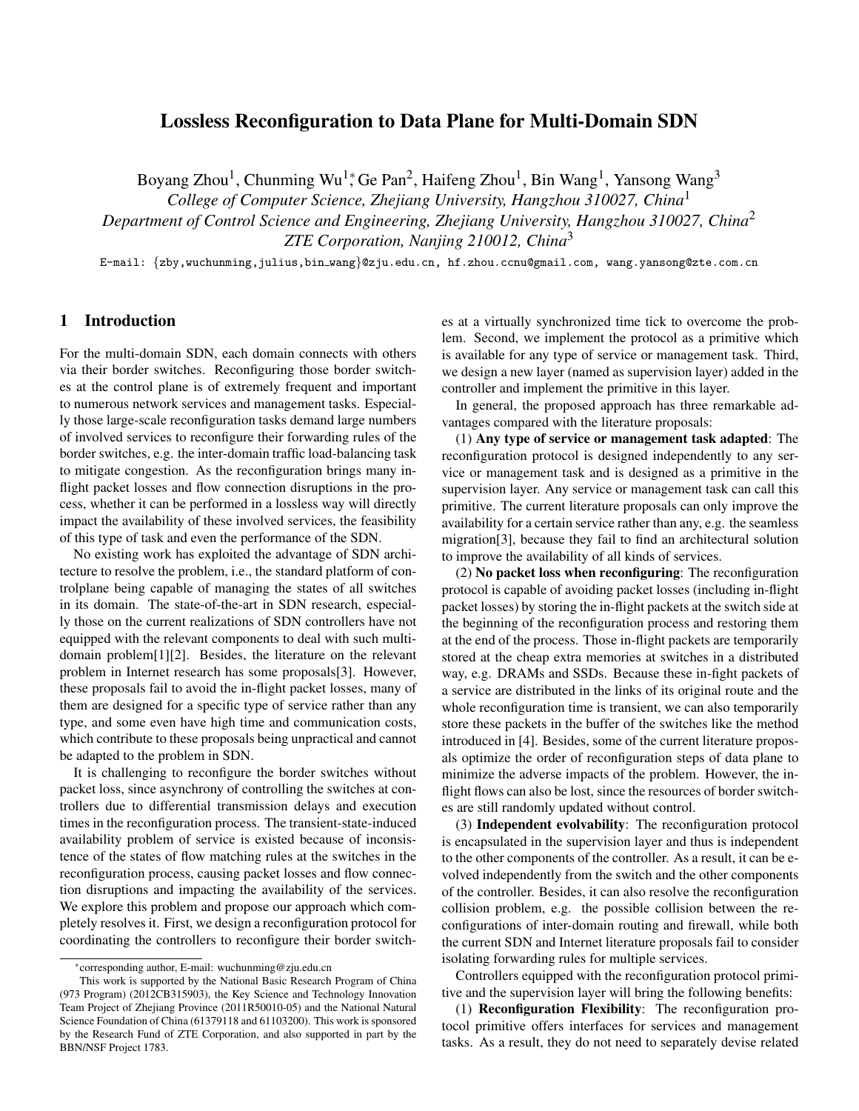# Lossless Reconfiguration to Data Plane for Multi-Domain SDN

Boyang Zhou<sup>1</sup>, Chunming Wu<sup>1</sup>,\* Ge Pan<sup>2</sup>, Haifeng Zhou<sup>1</sup>, Bin Wang<sup>1</sup>, Yansong Wang<sup>3</sup>

*College of Computer Science, Zhejiang University, Hangzhou 310027, China*<sup>1</sup>

*Department of Control Science and Engineering, Zhejiang University, Hangzhou 310027, China*<sup>2</sup>

*ZTE Corporation, Nanjing 210012, China*<sup>3</sup>

E-mail: *{*zby,wuchunming,julius,bin wang*}*@zju.edu.cn, hf.zhou.ccnu@gmail.com, wang.yansong@zte.com.cn

## 1 Introduction

For the multi-domain SDN, each domain connects with others via their border switches. Reconfiguring those border switches at the control plane is of extremely frequent and important to numerous network services and management tasks. Especially those large-scale reconfiguration tasks demand large numbers of involved services to reconfigure their forwarding rules of the border switches, e.g. the inter-domain traffic load-balancing task to mitigate congestion. As the reconfiguration brings many inflight packet losses and flow connection disruptions in the process, whether it can be performed in a lossless way will directly impact the availability of these involved services, the feasibility of this type of task and even the performance of the SDN.

No existing work has exploited the advantage of SDN architecture to resolve the problem, i.e., the standard platform of controlplane being capable of managing the states of all switches in its domain. The state-of-the-art in SDN research, especially those on the current realizations of SDN controllers have not equipped with the relevant components to deal with such multidomain problem[1][2]. Besides, the literature on the relevant problem in Internet research has some proposals[3]. However, these proposals fail to avoid the in-flight packet losses, many of them are designed for a specific type of service rather than any type, and some even have high time and communication costs, which contribute to these proposals being unpractical and cannot be adapted to the problem in SDN.

It is challenging to reconfigure the border switches without packet loss, since asynchrony of controlling the switches at controllers due to differential transmission delays and execution times in the reconfiguration process. The transient-state-induced availability problem of service is existed because of inconsistence of the states of flow matching rules at the switches in the reconfiguration process, causing packet losses and flow connection disruptions and impacting the availability of the services. We explore this problem and propose our approach which completely resolves it. First, we design a reconfiguration protocol for coordinating the controllers to reconfigure their border switches at a virtually synchronized time tick to overcome the problem. Second, we implement the protocol as a primitive which is available for any type of service or management task. Third, we design a new layer (named as supervision layer) added in the controller and implement the primitive in this layer.

In general, the proposed approach has three remarkable advantages compared with the literature proposals:

(1) Any type of service or management task adapted: The reconfiguration protocol is designed independently to any service or management task and is designed as a primitive in the supervision layer. Any service or management task can call this primitive. The current literature proposals can only improve the availability for a certain service rather than any, e.g. the seamless migration[3], because they fail to find an architectural solution to improve the availability of all kinds of services.

(2) No packet loss when reconfiguring: The reconfiguration protocol is capable of avoiding packet losses (including in-flight packet losses) by storing the in-flight packets at the switch side at the beginning of the reconfiguration process and restoring them at the end of the process. Those in-flight packets are temporarily stored at the cheap extra memories at switches in a distributed way, e.g. DRAMs and SSDs. Because these in-fight packets of a service are distributed in the links of its original route and the whole reconfiguration time is transient, we can also temporarily store these packets in the buffer of the switches like the method introduced in [4]. Besides, some of the current literature proposals optimize the order of reconfiguration steps of data plane to minimize the adverse impacts of the problem. However, the inflight flows can also be lost, since the resources of border switches are still randomly updated without control.

(3) Independent evolvability: The reconfiguration protocol is encapsulated in the supervision layer and thus is independent to the other components of the controller. As a result, it can be evolved independently from the switch and the other components of the controller. Besides, it can also resolve the reconfiguration collision problem, e.g. the possible collision between the reconfigurations of inter-domain routing and firewall, while both the current SDN and Internet literature proposals fail to consider isolating forwarding rules for multiple services.

Controllers equipped with the reconfiguration protocol primitive and the supervision layer will bring the following benefits:

(1) Reconfiguration Flexibility: The reconfiguration protocol primitive offers interfaces for services and management tasks. As a result, they do not need to separately devise related

*<sup>∗</sup>* corresponding author, E-mail: wuchunming@zju.edu.cn

This work is supported by the National Basic Research Program of China (973 Program) (2012CB315903), the Key Science and Technology Innovation Team Project of Zhejiang Province (2011R50010-05) and the National Natural Science Foundation of China (61379118 and 61103200). This work is sponsored by the Research Fund of ZTE Corporation, and also supported in part by the BBN/NSF Project 1783.